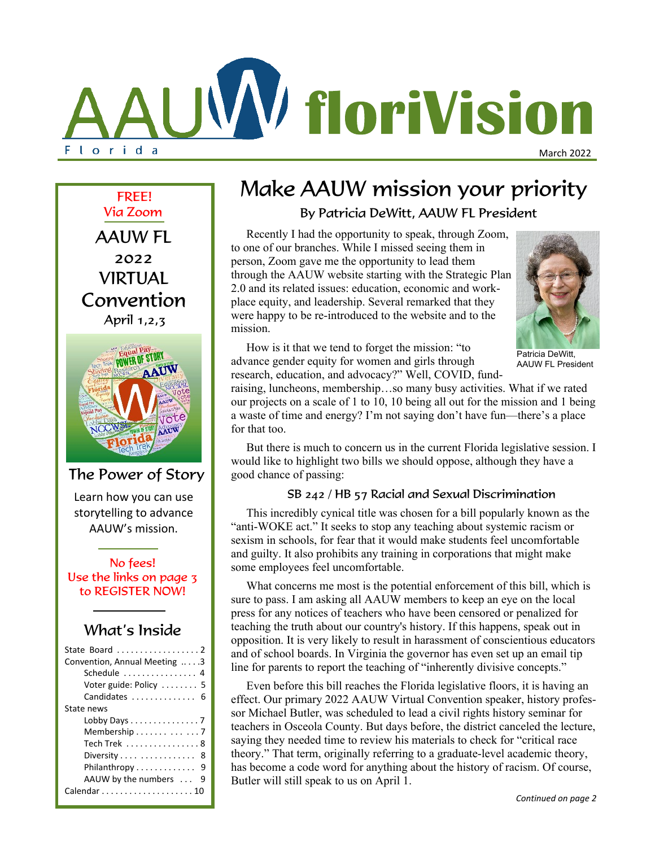



AAUW by the numbers . . . 9 Calendar . . . . . . . . . . . . . . . . . . . . 10

# Make AAUW mission your priority

By Patricia DeWitt, AAUW FL President

Recently I had the opportunity to speak, through Zoom, to one of our branches. While I missed seeing them in person, Zoom gave me the opportunity to lead them through the AAUW website starting with the Strategic Plan 2.0 and its related issues: education, economic and workplace equity, and leadership. Several remarked that they were happy to be re-introduced to the website and to the mission.



Patricia DeWitt, AAUW FL President

How is it that we tend to forget the mission: "to advance gender equity for women and girls through research, education, and advocacy?" Well, COVID, fund-

raising, luncheons, membership…so many busy activities. What if we rated our projects on a scale of 1 to 10, 10 being all out for the mission and 1 being a waste of time and energy? I'm not saying don't have fun—there's a place for that too.

But there is much to concern us in the current Florida legislative session. I would like to highlight two bills we should oppose, although they have a good chance of passing:

## SB 242 / HB 57 Racial and Sexual Discrimination

This incredibly cynical title was chosen for a bill popularly known as the "anti-WOKE act." It seeks to stop any teaching about systemic racism or sexism in schools, for fear that it would make students feel uncomfortable and guilty. It also prohibits any training in corporations that might make some employees feel uncomfortable.

What concerns me most is the potential enforcement of this bill, which is sure to pass. I am asking all AAUW members to keep an eye on the local press for any notices of teachers who have been censored or penalized for teaching the truth about our country's history. If this happens, speak out in opposition. It is very likely to result in harassment of conscientious educators and of school boards. In Virginia the governor has even set up an email tip line for parents to report the teaching of "inherently divisive concepts."

Even before this bill reaches the Florida legislative floors, it is having an effect. Our primary 2022 AAUW Virtual Convention speaker, history professor Michael Butler, was scheduled to lead a civil rights history seminar for teachers in Osceola County. But days before, the district canceled the lecture, saying they needed time to review his materials to check for "critical race theory." That term, originally referring to a graduate-level academic theory, has become a code word for anything about the history of racism. Of course, Butler will still speak to us on April 1.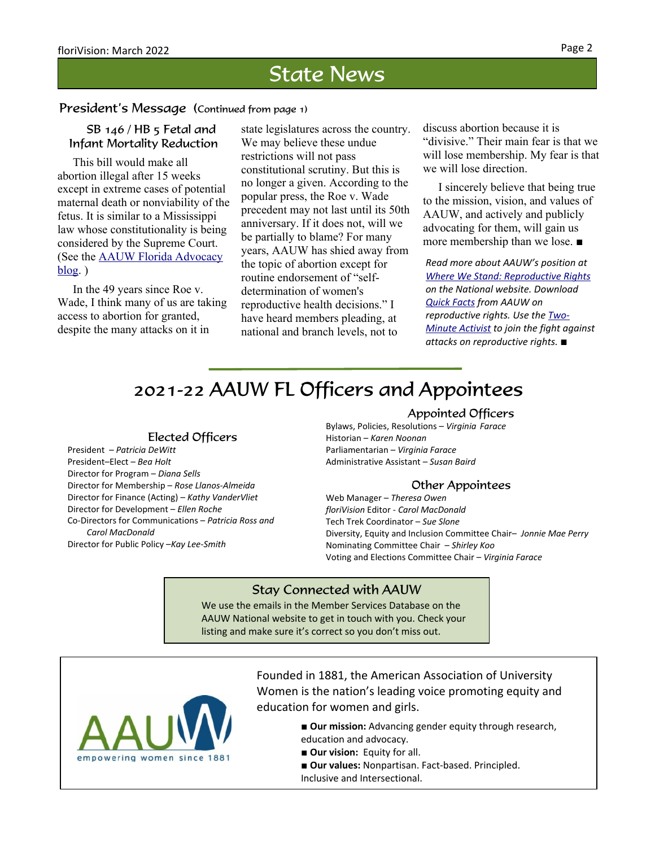## State News

#### President's Message (Continued from page 1)

### SB 146 / HB 5 Fetal and Infant Mortality Reduction

This bill would make all abortion illegal after 15 weeks except in extreme cases of potential maternal death or nonviability of the fetus. It is similar to a Mississippi law whose constitutionality is being considered by the Supreme Court. (See the **AAUW** Florida Advocacy  $blog.$  $blog.$ )

In the 49 years since Roe v. Wade, I think many of us are taking access to abortion for granted, despite the many attacks on it in

state legislatures across the country. We may believe these undue restrictions will not pass constitutional scrutiny. But this is no longer a given. According to the popular press, the Roe v. Wade precedent may not last until its 50th anniversary. If it does not, will we be partially to blame? For many years, AAUW has shied away from the topic of abortion except for routine endorsement of "selfdetermination of women's reproductive health decisions." I have heard members pleading, at national and branch levels, not to

discuss abortion because it is "divisive." Their main fear is that we will lose membership. My fear is that we will lose direction.

I sincerely believe that being true to the mission, vision, and values of AAUW, and actively and publicly advocating for them, will gain us more membership than we lose. *■*

*Read more about AAUW's position at [Where We Stand: Reproductive Rights](https://www.aauw.org/resources/policy/position-repro/) on the National website. Download [Quick Facts](https://www.aauw.org/app/uploads/2021/11/Repro-Rights_QuickFacts_10.21-update.pdf) from AAUW on reproductive rights. Use the [Two-](https://www.aauw.org/act/two-minute-activist/reproductive-rights/)[Minute Activist](https://www.aauw.org/act/two-minute-activist/reproductive-rights/) to join the fight against attacks on reproductive rights. ■*

## 2021-22 AAUW FL Officers and Appointees

### Elected Officers

President – *Patricia DeWitt* President–Elect – *Bea Holt* Director for Program – *Diana Sells* Director for Membership – *Rose Llanos-Almeida* Director for Finance (Acting) – *Kathy VanderVliet* Director for Development – *Ellen Roche* Co-Directors for Communications – *Patricia Ross and Carol MacDonald* Director for Public Policy –*Kay Lee-Smith*

### Appointed Officers

Bylaws, Policies, Resolutions – *Virginia Farace* Historian – *Karen Noonan* Parliamentarian – *Virginia Farace* Administrative Assistant – *Susan Baird*

#### Other Appointees

Web Manager – *Theresa Owen floriVision* Editor - *Carol MacDonald* Tech Trek Coordinator – *Sue Slone* Diversity, Equity and Inclusion Committee Chair– *Jonnie Mae Perry* Nominating Committee Chair – *Shirley Koo* Voting and Elections Committee Chair – *Virginia Farace*

### Stay Connected with AAUW

We use the emails in the Member Services Database on the AAUW National website to get in touch with you. Check your listing and make sure it's correct so you don't miss out.



Founded in 1881, the American Association of University Women is the nation's leading voice promoting equity and education for women and girls.

- **Our mission:** Advancing gender equity through research, education and advocacy.
- **Our vision:** Equity for all.
- **Our values:** Nonpartisan. Fact-based. Principled. Inclusive and Intersectional.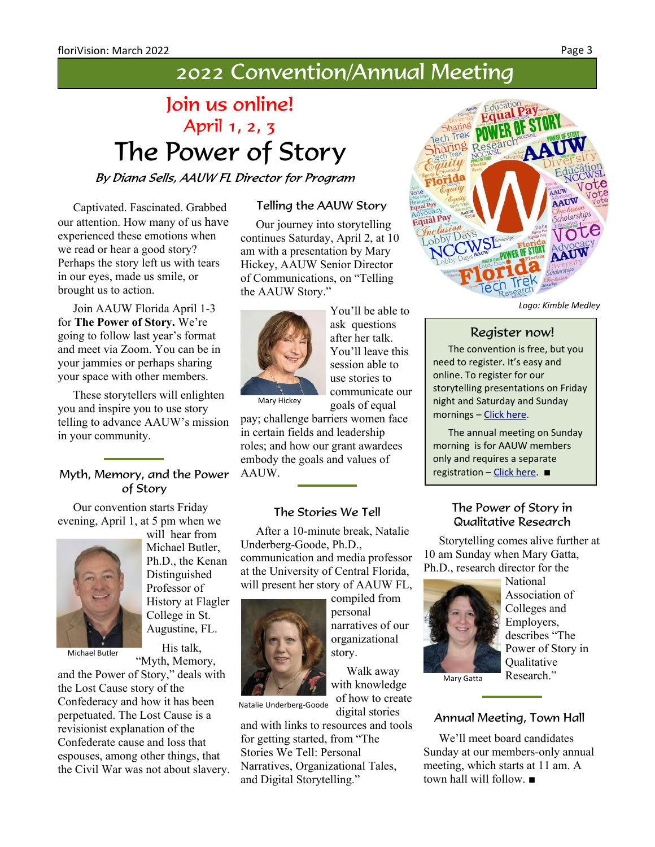## 2022 Convention/Annual Meeting

## Join us online! April 1, 2, 3 The Power of Story

By Diana Sells, AAUW FL Director for Program

Captivated. Fascinated. Grabbed our attention. How many of us have experienced these emotions when we read or hear a good story? Perhaps the story left us with tears in our eyes, made us smile, or brought us to action.

Join AAUW Florida April 1-3 for **The Power of Story.** We're going to follow last year's format and meet via Zoom. You can be in your jammies or perhaps sharing your space with other members.

These storytellers will enlighten you and inspire you to use story telling to advance AAUW's mission in your community.

### Myth, Memory, and the Power of Story

Our convention starts Friday evening, April 1, at 5 pm when we



will hear from Michael Butler, Ph.D., the Kenan Distinguished Professor of History at Flagler College in St. Augustine, FL. His talk,

Michael Butler

"Myth, Memory, and the Power of Story," deals with the Lost Cause story of the Confederacy and how it has been perpetuated. The Lost Cause is a revisionist explanation of the Confederate cause and loss that espouses, among other things, that the Civil War was not about slavery.

## Telling the AAUW Story

Our journey into storytelling continues Saturday, April 2, at 10 am with a presentation by Mary Hickey, AAUW Senior Director of Communications, on "Telling the AAUW Story."



You'll be able to ask questions after her talk. You'll leave this session able to use stories to communicate our goals of equal

Mary Hickey

pay; challenge barriers women face in certain fields and leadership roles; and how our grant awardees embody the goals and values of AAUW.

### The Stories We Tell

After a 10-minute break, Natalie Underberg-Goode, Ph.D., communication and media professor at the University of Central Florida, will present her story of AAUW FL,

> compiled from personal

narratives of our organizational

Walk away with knowledge

story.



of how to create Natalie Underberg-Goode

digital stories and with links to resources and tools for getting started, from "The Stories We Tell: Personal Narratives, Organizational Tales, and Digital Storytelling."



*Logo: Kimble Medley*

### Register now!

The convention is free, but you need to register. It's easy and online. To register for our storytelling presentations on Friday night and Saturday and Sunday mornings – [Click here](https://us02web.zoom.us/meeting/register/tZIkceurqz4rEtxUNl6Mp1InsO668uShaAPk).

The annual meeting on Sunday morning is for AAUW members only and requires a separate registration – [Click here](https://us02web.zoom.us/meeting/register/tZwpd-yrqzwrE9DRNwh2ir6ogGNg1L5nxcAG). *■*

### The Power of Story in Qualitative Research

Storytelling comes alive further at 10 am Sunday when Mary Gatta, Ph.D., research director for the



National Association of Colleges and Employers, describes "The Power of Story in **Oualitative** Research."

Mary Gatta

### Annual Meeting, Town Hall

We'll meet board candidates Sunday at our members-only annual meeting, which starts at 11 am. A town hall will follow. *■*

#### Page 3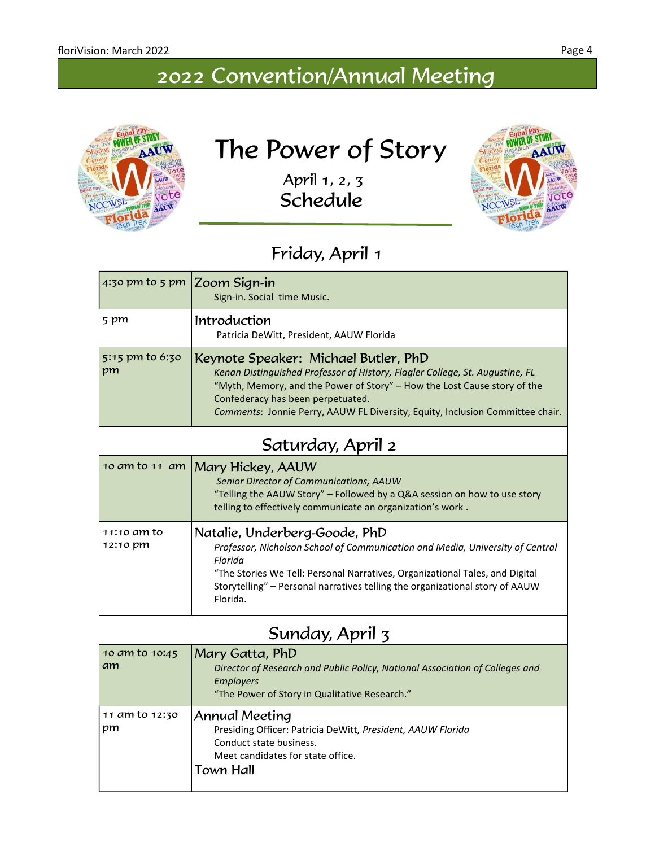# 2022 Convention/Annual Meeting



# The Power of Story

Schedule April 1, 2, 3



## Friday, April 1

| 4:30 pm to 5 pm         | Zoom Sign-in<br>Sign-in. Social time Music.                                                                                                                                                                                                                                                                            |
|-------------------------|------------------------------------------------------------------------------------------------------------------------------------------------------------------------------------------------------------------------------------------------------------------------------------------------------------------------|
| 5 pm                    | Introduction<br>Patricia DeWitt, President, AAUW Florida                                                                                                                                                                                                                                                               |
| 5:15 pm to 6:30<br>pm   | Keynote Speaker: Michael Butler, PhD<br>Kenan Distinguished Professor of History, Flagler College, St. Augustine, FL<br>"Myth, Memory, and the Power of Story" - How the Lost Cause story of the<br>Confederacy has been perpetuated.<br>Comments: Jonnie Perry, AAUW FL Diversity, Equity, Inclusion Committee chair. |
| Saturday, April 2       |                                                                                                                                                                                                                                                                                                                        |
| 10 am to 11 am          | Mary Hickey, AAUW<br>Senior Director of Communications, AAUW<br>"Telling the AAUW Story" - Followed by a Q&A session on how to use story<br>telling to effectively communicate an organization's work.                                                                                                                 |
| 11:10 am to<br>12:10 pm | Natalie, Underberg-Goode, PhD<br>Professor, Nicholson School of Communication and Media, University of Central<br>Florida<br>"The Stories We Tell: Personal Narratives, Organizational Tales, and Digital<br>Storytelling" - Personal narratives telling the organizational story of AAUW<br>Florida.                  |
| Sunday, April 3         |                                                                                                                                                                                                                                                                                                                        |
| 10 am to 10:45<br>am    | Mary Gatta, PhD<br>Director of Research and Public Policy, National Association of Colleges and<br><b>Employers</b><br>"The Power of Story in Qualitative Research."                                                                                                                                                   |
| 11 am to 12:30<br>pm    | <b>Annual Meeting</b><br>Presiding Officer: Patricia DeWitt, President, AAUW Florida<br>Conduct state business.<br>Meet candidates for state office.<br>Town Hall                                                                                                                                                      |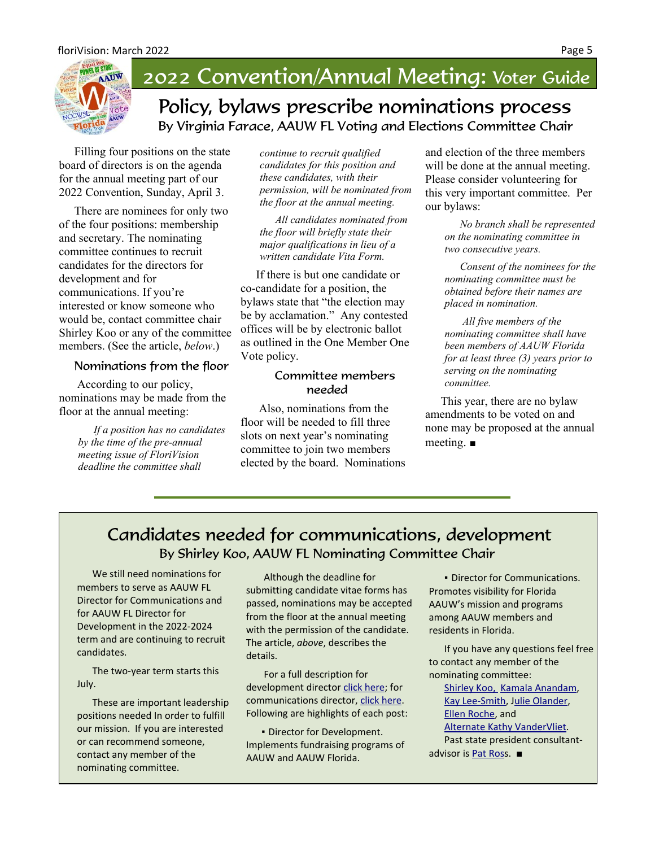

# 2022 Convention/Annual Meeting: Voter Guide

Policy, bylaws prescribe nominations process By Virginia Farace, AAUW FL Voting and Elections Committee Chair

Filling four positions on the state board of directors is on the agenda for the annual meeting part of our 2022 Convention, Sunday, April 3.

There are nominees for only two of the four positions: membership and secretary. The nominating committee continues to recruit candidates for the directors for development and for communications. If you're interested or know someone who would be, contact committee chair Shirley Koo or any of the committee members. (See the article, *below*.)

### Nominations from the floor

 According to our policy, nominations may be made from the floor at the annual meeting:

> *If a position has no candidates by the time of the pre-annual meeting issue of FloriVision deadline the committee shall*

*continue to recruit qualified candidates for this position and these candidates, with their permission, will be nominated from the floor at the annual meeting.*

*All candidates nominated from the floor will briefly state their major qualifications in lieu of a written candidate Vita Form.*

If there is but one candidate or co-candidate for a position, the bylaws state that "the election may be by acclamation." Any contested offices will be by electronic ballot as outlined in the One Member One Vote policy.

#### Committee members needed

 Also, nominations from the floor will be needed to fill three slots on next year's nominating committee to join two members elected by the board. Nominations and election of the three members will be done at the annual meeting. Please consider volunteering for this very important committee. Per our bylaws:

> *No branch shall be represented on the nominating committee in two consecutive years.*

> *Consent of the nominees for the nominating committee must be obtained before their names are placed in nomination.*

 *All five members of the nominating committee shall have been members of AAUW Florida for at least three (3) years prior to serving on the nominating committee.*

This year, there are no bylaw amendments to be voted on and none may be proposed at the annual meeting. ■

## Candidates needed for communications, development By Shirley Koo, AAUW FL Nominating Committee Chair

We still need nominations for members to serve as AAUW FL Director for Communications and for AAUW FL Director for Development in the 2022-2024 term and are continuing to recruit candidates.

The two-year term starts this July.

These are important leadership positions needed In order to fulfill our mission. If you are interested or can recommend someone, contact any member of the nominating committee.

 Although the deadline for submitting candidate vitae forms has passed, nominations may be accepted from the floor at the annual meeting with the permission of the candidate. The article, *above*, describes the details.

 For a full description for development director [click here;](https://aauw-fl.aauw.net/files/2019/09/Communications-Job-Description.odt-copy.pdf) for communications director, [click here.](https://aauw-fl.aauw.net/files/2019/09/Communications-Job-Description.odt-copy.pdf) Following are highlights of each post:

**• Director for Development.** Implements fundraising programs of AAUW and AAUW Florida.

▪ Director for Communications. Promotes visibility for Florida AAUW's mission and programs among AAUW members and residents in Florida.

If you have any questions feel free to contact any member of the nominating committee:

[Shirley Koo,](tcccny2@gmail.com) [Kamala Anandam](mailto:kanandam@comcast.net), [Kay Lee-Smith](mailto:aauwflksmith@gmail.com), [Julie Olander,](mailto:julieolander@comcast.net) [Ellen Roche,](mailto:ellen.roche.AAUW@gmail.com) and [Alternate Kathy VanderVliet.](mailto:kathyvan@comcast.net) Past state president consultant-

advisor is [Pat Ross](mailto:paross@aol.com). ■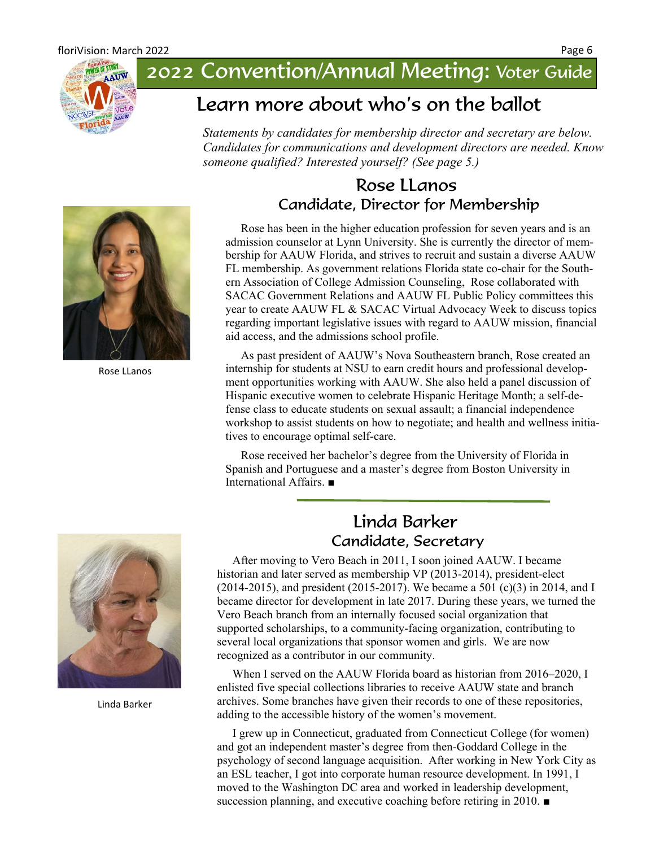

## 2022 Convention/Annual Meeting: Voter Guide

## Learn more about who's on the ballot

*Statements by candidates for membership director and secretary are below. Candidates for communications and development directors are needed. Know someone qualified? Interested yourself? (See page 5.)*

## Rose LLanos Candidate, Director for Membership



Rose LLanos

Rose has been in the higher education profession for seven years and is an admission counselor at Lynn University. She is currently the director of membership for AAUW Florida, and strives to recruit and sustain a diverse AAUW FL membership. As government relations Florida state co-chair for the Southern Association of College Admission Counseling, Rose collaborated with SACAC Government Relations and AAUW FL Public Policy committees this year to create AAUW FL & SACAC Virtual Advocacy Week to discuss topics regarding important legislative issues with regard to AAUW mission, financial aid access, and the admissions school profile.

As past president of AAUW's Nova Southeastern branch, Rose created an internship for students at NSU to earn credit hours and professional development opportunities working with AAUW. She also held a panel discussion of Hispanic executive women to celebrate Hispanic Heritage Month; a self-defense class to educate students on sexual assault; a financial independence workshop to assist students on how to negotiate; and health and wellness initiatives to encourage optimal self-care.

Rose received her bachelor's degree from the University of Florida in Spanish and Portuguese and a master's degree from Boston University in International Affairs. ■



Linda Barker

## Linda Barker Candidate, Secretary

After moving to Vero Beach in 2011, I soon joined AAUW. I became historian and later served as membership VP (2013-2014), president-elect (2014-2015), and president (2015-2017). We became a 501 (c)(3) in 2014, and I became director for development in late 2017. During these years, we turned the Vero Beach branch from an internally focused social organization that supported scholarships, to a community-facing organization, contributing to several local organizations that sponsor women and girls. We are now recognized as a contributor in our community.

When I served on the AAUW Florida board as historian from 2016–2020, I enlisted five special collections libraries to receive AAUW state and branch archives. Some branches have given their records to one of these repositories, adding to the accessible history of the women's movement.

I grew up in Connecticut, graduated from Connecticut College (for women) and got an independent master's degree from then-Goddard College in the psychology of second language acquisition. After working in New York City as an ESL teacher, I got into corporate human resource development. In 1991, I moved to the Washington DC area and worked in leadership development, succession planning, and executive coaching before retiring in 2010. ■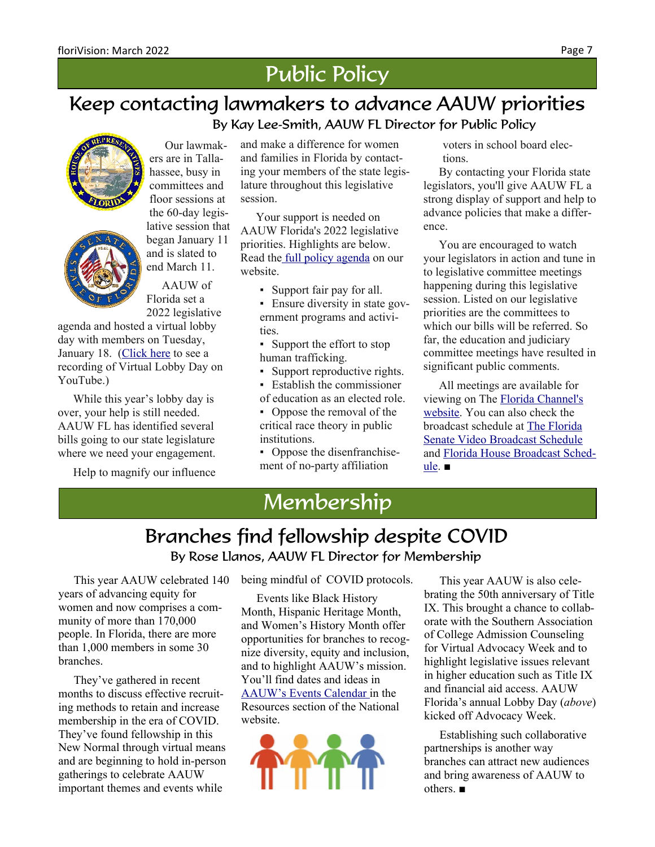## Public Policy

# Keep contacting lawmakers to advance AAUW priorities

By Kay Lee-Smith, AAUW FL Director for Public Policy



Our lawmakers are in Tallahassee, busy in committees and floor sessions at the 60-day legislative session that began January 11 and is slated to end March 11.

AAUW of Florida set a 2022 legislative

agenda and hosted a virtual lobby day with members on Tuesday, January 18. ([Click here](https://www.youtube.com/watch?v=pqWnK8NGW-0) to see a recording of Virtual Lobby Day on YouTube.)

While this year's lobby day is over, your help is still needed. AAUW FL has identified several bills going to our state legislature where we need your engagement.

Help to magnify our influence

and make a difference for women and families in Florida by contacting your members of the state legislature throughout this legislative session.

Your support is needed on AAUW Florida's 2022 legislative priorities. Highlights are below. Read the [full policy agenda](https://aauw-fl.aauw.net/files/2022/01/AAUW-FL-2022-Priority-Legislation.pdf) on our website.

- Support fair pay for all.
- Ensure diversity in state government programs and activities.
- Support the effort to stop human trafficking.
- Support reproductive rights.
- Establish the commissioner of education as an elected role.
- Oppose the removal of the critical race theory in public institutions.
- Oppose the disenfranchisement of no-party affiliation

voters in school board elections.

By contacting your Florida state legislators, you'll give AAUW FL a strong display of support and help to advance policies that make a difference.

You are encouraged to watch your legislators in action and tune in to legislative committee meetings happening during this legislative session. Listed on our legislative priorities are the committees to which our bills will be referred. So far, the education and judiciary committee meetings have resulted in significant public comments.

All meetings are available for viewing on The [Florida Channel's](https://thefloridachannel.org/) [website.](https://thefloridachannel.org/) You can also check the broadcast schedule at [The Florida](https://www.flsenate.gov/Media/VideoSchedule) [Senate Video Broadcast Schedule](https://www.flsenate.gov/Media/VideoSchedule) and [Florida House Broadcast Sched](https://www.myfloridahouse.gov/Sections/HouseSchedule/houseschedule.aspx)[ule](https://www.myfloridahouse.gov/Sections/HouseSchedule/houseschedule.aspx). *■*

.

## Membership

## By Rose Llanos, AAUW FL Director for Membership Branches find fellowship despite COVID

This year AAUW celebrated 140 years of advancing equity for women and now comprises a community of more than 170,000 people. In Florida, there are more than 1,000 members in some 30 branches.

They've gathered in recent months to discuss effective recruiting methods to retain and increase membership in the era of COVID. They've found fellowship in this New Normal through virtual means and are beginning to hold in-person gatherings to celebrate AAUW important themes and events while

being mindful of COVID protocols.

Events like Black History Month, Hispanic Heritage Month, and Women's History Month offer opportunities for branches to recognize diversity, equity and inclusion, and to highlight AAUW's mission. You'll find dates and ideas in [AAUW's Events Calendar i](https://ww3.aauw.org/resource/events-and-deadlines-calendar/)n the Resources section of the National website.



This year AAUW is also celebrating the 50th anniversary of Title IX. This brought a chance to collaborate with the Southern Association of College Admission Counseling for Virtual Advocacy Week and to highlight legislative issues relevant in higher education such as Title IX and financial aid access. AAUW Florida's annual Lobby Day (*above*) kicked off Advocacy Week.

Establishing such collaborative partnerships is another way branches can attract new audiences and bring awareness of AAUW to others. *■*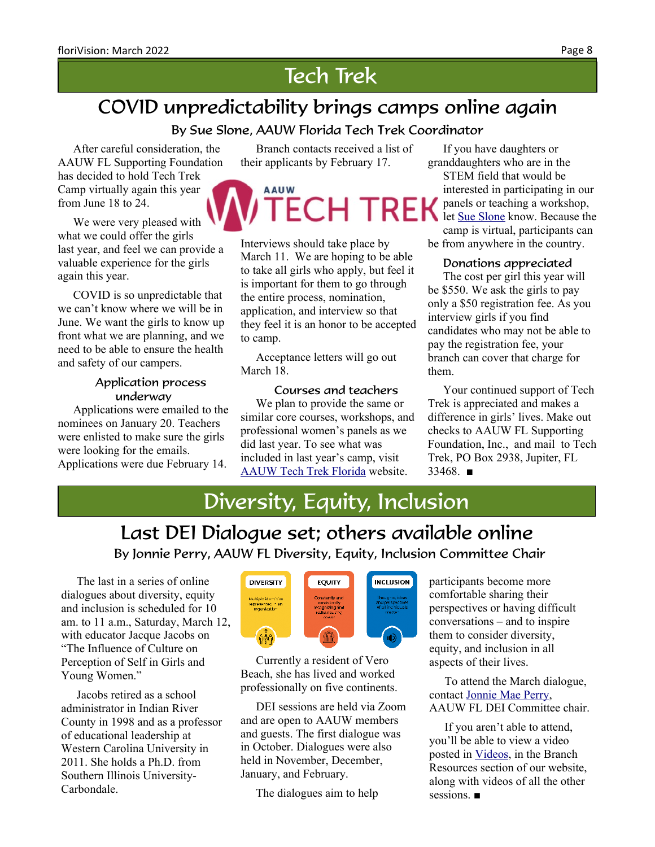## Tech Trek

## COVID unpredictability brings camps online again

By Sue Slone, AAUW Florida Tech Trek Coordinator

After careful consideration, the AAUW FL Supporting Foundation has decided to hold Tech Trek Camp virtually again this year from June 18 to 24.

We were very pleased with what we could offer the girls last year, and feel we can provide a valuable experience for the girls again this year.

COVID is so unpredictable that we can't know where we will be in June. We want the girls to know up front what we are planning, and we need to be able to ensure the health and safety of our campers.

### Application process underway

Applications were emailed to the nominees on January 20. Teachers were enlisted to make sure the girls were looking for the emails. Applications were due February 14.

Branch contacts received a list of their applicants by February 17.

Interviews should take place by March 11. We are hoping to be able to take all girls who apply, but feel it is important for them to go through the entire process, nomination, application, and interview so that they feel it is an honor to be accepted to camp.

Acceptance letters will go out March 18.

### Courses and teachers

We plan to provide the same or similar core courses, workshops, and professional women's panels as we did last year. To see what was included in last year's camp, visit [AAUW Tech Trek Florida](https://techtrek-fl.aauw.net/) website.

If you have daughters or granddaughters who are in the STEM field that would be interested in participating in our panels or teaching a workshop, let [Sue Slone](mailto:techtrekfl16@gmail.com) know. Because the camp is virtual, participants can be from anywhere in the country.

### Donations appreciated

The cost per girl this year will be \$550. We ask the girls to pay only a \$50 registration fee. As you interview girls if you find candidates who may not be able to pay the registration fee, your branch can cover that charge for them.

Your continued support of Tech Trek is appreciated and makes a difference in girls' lives. Make out checks to AAUW FL Supporting Foundation, Inc., and mail to Tech Trek, PO Box 2938, Jupiter, FL 33468. ■

Diversity, Equity, Inclusion

Last DEI Dialogue set; others available online By Jonnie Perry, AAUW FL Diversity, Equity, Inclusion Committee Chair

The last in a series of online dialogues about diversity, equity and inclusion is scheduled for 10 am. to 11 a.m., Saturday, March 12, with educator Jacque Jacobs on "The Influence of Culture on Perception of Self in Girls and Young Women."

Jacobs retired as a school administrator in Indian River County in 1998 and as a professor of educational leadership at Western Carolina University in 2011. She holds a Ph.D. from Southern Illinois University-Carbondale.



Currently a resident of Vero Beach, she has lived and worked professionally on five continents.

DEI sessions are held via Zoom and are open to AAUW members and guests. The first dialogue was in October. Dialogues were also held in November, December, January, and February.

The dialogues aim to help

participants become more comfortable sharing their perspectives or having difficult conversations – and to inspire them to consider diversity, equity, and inclusion in all aspects of their lives.

To attend the March dialogue, contact [Jonnie Mae Perry](mailto:jonnieperry@gccrc.net), AAUW FL DEI Committee chair.

If you aren't able to attend, you'll be able to view a video posted in [Videos](https://aauw-fl.aauw.net/links/), in the Branch Resources section of our website, along with videos of all the other sessions. ■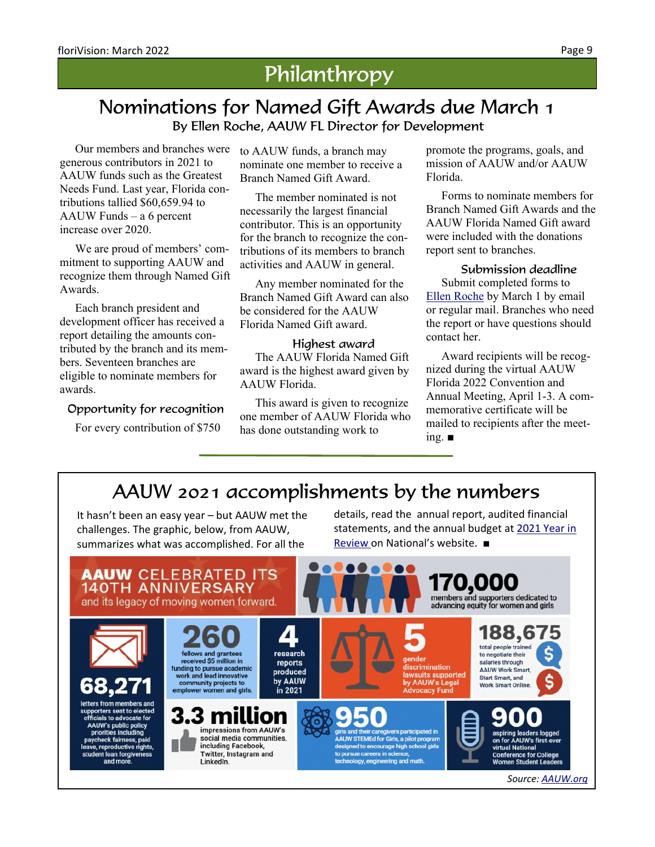## **Philanthropy**

## Nominations for Named Gift Awards due March 1 By Ellen Roche, AAUW FL Director for Development

Our members and branches were to AAUW funds, a branch may generous contributors in 2021 to AAUW funds such as the Greatest Needs Fund. Last year, Florida contributions tallied \$60,659.94 to AAUW Funds – a 6 percent increase over 2020.

We are proud of members' commitment to supporting AAUW and recognize them through Named Gift Awards.

Each branch president and development officer has received a report detailing the amounts contributed by the branch and its members. Seventeen branches are eligible to nominate members for awards.

## Opportunity for recognition

For every contribution of \$750

nominate one member to receive a Branch Named Gift Award.

The member nominated is not necessarily the largest financial contributor. This is an opportunity for the branch to recognize the contributions of its members to branch activities and AAUW in general.

Any member nominated for the Branch Named Gift Award can also be considered for the AAUW Florida Named Gift award.

#### Highest award

The AAUW Florida Named Gift award is the highest award given by AAUW Florida.

This award is given to recognize one member of AAUW Florida who has done outstanding work to

promote the programs, goals, and mission of AAUW and/or AAUW Florida.

Forms to nominate members for Branch Named Gift Awards and the AAUW Florida Named Gift award were included with the donations report sent to branches.

#### Submission deadline

Submit completed forms to [Ellen Roche](mailto:ellen.roche.aauw@gmail.com) by March 1 by email or regular mail. Branches who need the report or have questions should contact her.

Award recipients will be recognized during the virtual AAUW Florida 2022 Convention and Annual Meeting, April 1-3. A commemorative certificate will be mailed to recipients after the meeting. ■

## AAUW 2021 accomplishments by the numbers

It hasn't been an easy year – but AAUW met the challenges. The graphic, below, from AAUW, summarizes what was accomplished. For all the

details, read the annual report, audited financial statements, and the annual budget at [2021 Year in](https://www.aauw.org/about/years-in-review/) [Review](https://www.aauw.org/about/years-in-review/) on National's website. ■